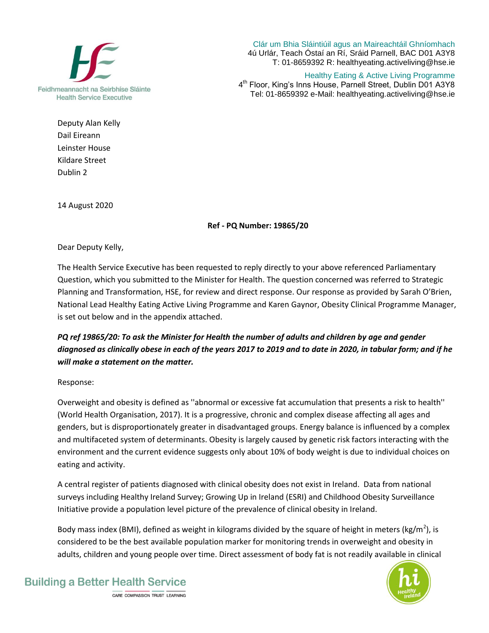

Deputy Alan Kelly Dail Eireann Leinster House Kildare Street Dublin 2

14 August 2020

**Ref - PQ Number: 19865/20**

Clár um Bhia Sláintiúil agus an Maireachtáil Ghníomhach 4ú Urlár, Teach Óstaí an Rí, Sráid Parnell, BAC D01 A3Y8 T: 01-8659392 R: healthyeating.activeliving@hse.ie

4<sup>th</sup> Floor, King's Inns House, Parnell Street, Dublin D01 A3Y8 Tel: 01-8659392 e-Mail: healthyeating.activeliving@hse.ie

Healthy Eating & Active Living Programme

Dear Deputy Kelly,

The Health Service Executive has been requested to reply directly to your above referenced Parliamentary Question, which you submitted to the Minister for Health. The question concerned was referred to Strategic Planning and Transformation, HSE, for review and direct response. Our response as provided by Sarah O'Brien, National Lead Healthy Eating Active Living Programme and Karen Gaynor, Obesity Clinical Programme Manager, is set out below and in the appendix attached.

# *PQ ref 19865/20: To ask the Minister for Health the number of adults and children by age and gender diagnosed as clinically obese in each of the years 2017 to 2019 and to date in 2020, in tabular form; and if he will make a statement on the matter.*

Response:

Overweight and obesity is defined as ''abnormal or excessive fat accumulation that presents a risk to health'' (World Health Organisation, 2017). It is a progressive, chronic and complex disease affecting all ages and genders, but is disproportionately greater in disadvantaged groups. Energy balance is influenced by a complex and multifaceted system of determinants. Obesity is largely caused by genetic risk factors interacting with the environment and the current evidence suggests only about 10% of body weight is due to individual choices on eating and activity.

A central register of patients diagnosed with clinical obesity does not exist in Ireland. Data from national surveys including Healthy Ireland Survey; Growing Up in Ireland (ESRI) and Childhood Obesity Surveillance Initiative provide a population level picture of the prevalence of clinical obesity in Ireland.

Body mass index (BMI), defined as weight in kilograms divided by the square of height in meters (kg/m<sup>2</sup>), is considered to be the best available population marker for monitoring trends in overweight and obesity in adults, children and young people over time. Direct assessment of body fat is not readily available in clinical

**Building a Better Health Service** 

CARE COMPASSION TRUST LEARNING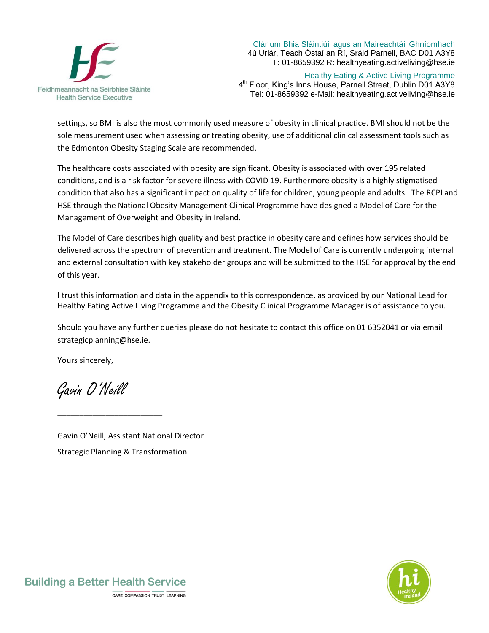

Healthy Eating & Active Living Programme 4<sup>th</sup> Floor, King's Inns House, Parnell Street, Dublin D01 A3Y8 Tel: 01-8659392 e-Mail: healthyeating.activeliving@hse.ie

settings, so BMI is also the most commonly used measure of obesity in clinical practice. BMI should not be the sole measurement used when assessing or treating obesity, use of additional clinical assessment tools such as the Edmonton Obesity Staging Scale are recommended.

The healthcare costs associated with obesity are significant. Obesity is associated with over 195 related conditions, and is a risk factor for severe illness with COVID 19. Furthermore obesity is a highly stigmatised condition that also has a significant impact on quality of life for children, young people and adults. The RCPI and HSE through the National Obesity Management Clinical Programme have designed a Model of Care for the Management of Overweight and Obesity in Ireland.

The Model of Care describes high quality and best practice in obesity care and defines how services should be delivered across the spectrum of prevention and treatment. The Model of Care is currently undergoing internal and external consultation with key stakeholder groups and will be submitted to the HSE for approval by the end of this year.

I trust this information and data in the appendix to this correspondence, as provided by our National Lead for Healthy Eating Active Living Programme and the Obesity Clinical Programme Manager is of assistance to you.

Should you have any further queries please do not hesitate to contact this office on 01 6352041 or via email strategicplanning@hse.ie.

Yours sincerely,

Gavin O'Neill

\_\_\_\_\_\_\_\_\_\_\_\_\_\_\_\_\_\_\_\_\_\_\_\_

Gavin O'Neill, Assistant National Director Strategic Planning & Transformation



**Building a Better Health Service** CARE COMPASSION TRUST LEARNING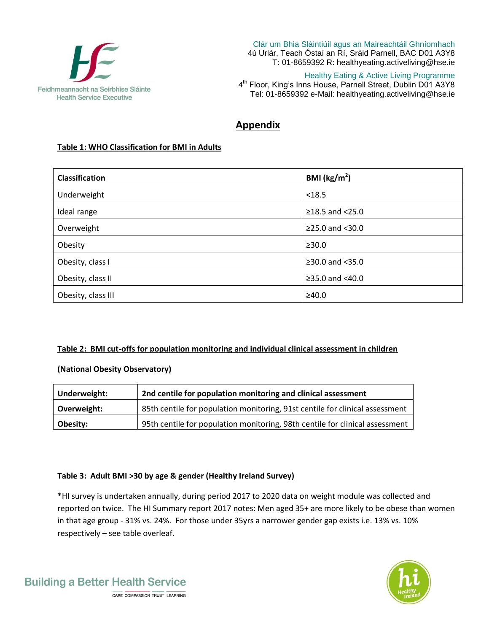

Healthy Eating & Active Living Programme 4<sup>th</sup> Floor, King's Inns House, Parnell Street, Dublin D01 A3Y8 Tel: 01-8659392 e-Mail: healthyeating.activeliving@hse.ie

# **Appendix**

## **Table 1: WHO Classification for BMI in Adults**

| <b>Classification</b> | BMI ( $\text{kg/m}^2$ ) |
|-----------------------|-------------------------|
| Underweight           | < 18.5                  |
| Ideal range           | $≥18.5$ and <25.0       |
| Overweight            | $≥25.0$ and <30.0       |
| Obesity               | >30.0                   |
| Obesity, class I      | ≥30.0 and $<35.0$       |
| Obesity, class II     | ≥35.0 and <40.0         |
| Obesity, class III    | ≥40.0                   |

#### **Table 2: BMI cut-offs for population monitoring and individual clinical assessment in children**

## **(National Obesity Observatory)**

| Underweight: | 2nd centile for population monitoring and clinical assessment                |  |
|--------------|------------------------------------------------------------------------------|--|
| Overweight:  | 85th centile for population monitoring, 91st centile for clinical assessment |  |
| Obesity:     | 95th centile for population monitoring, 98th centile for clinical assessment |  |

#### **Table 3: Adult BMI >30 by age & gender (Healthy Ireland Survey)**

\*HI survey is undertaken annually, during period 2017 to 2020 data on weight module was collected and reported on twice. The HI Summary report 2017 notes: Men aged 35+ are more likely to be obese than women in that age group - 31% vs. 24%. For those under 35yrs a narrower gender gap exists i.e. 13% vs. 10% respectively – see table overleaf.

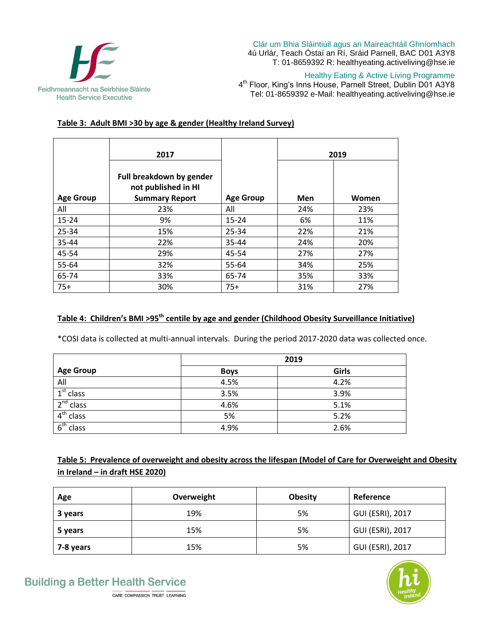

## Healthy Eating & Active Living Programme

4<sup>th</sup> Floor, King's Inns House, Parnell Street, Dublin D01 A3Y8 Tel: 01-8659392 e-Mail: healthyeating.activeliving@hse.ie

|                  | 2017                                                                     |                  | 2019 |       |
|------------------|--------------------------------------------------------------------------|------------------|------|-------|
| <b>Age Group</b> | Full breakdown by gender<br>not published in HI<br><b>Summary Report</b> | <b>Age Group</b> | Men  | Women |
| All              | 23%                                                                      | All              | 24%  | 23%   |
| $15 - 24$        | 9%                                                                       | $15 - 24$        | 6%   | 11%   |
| 25-34            | 15%                                                                      | 25-34            | 22%  | 21%   |
| 35-44            | 22%                                                                      | 35-44            | 24%  | 20%   |
| 45-54            | 29%                                                                      | 45-54            | 27%  | 27%   |
| 55-64            | 32%                                                                      | 55-64            | 34%  | 25%   |
| 65-74            | 33%                                                                      | 65-74            | 35%  | 33%   |
| $75+$            | 30%                                                                      | $75+$            | 31%  | 27%   |

## **Table 3: Adult BMI >30 by age & gender (Healthy Ireland Survey)**

## **Table 4: Children's BMI >95th centile by age and gender (Childhood Obesity Surveillance Initiative)**

\*COSI data is collected at multi-annual intervals. During the period 2017-2020 data was collected once.

|                       | 2019        |       |  |
|-----------------------|-------------|-------|--|
| <b>Age Group</b>      | <b>Boys</b> | Girls |  |
| All                   | 4.5%        | 4.2%  |  |
| $1st$ class           | 3.5%        | 3.9%  |  |
| 2 <sup>nd</sup> class | 4.6%        | 5.1%  |  |
| $4th$ class           | 5%          | 5.2%  |  |
| 6 <sup>th</sup> class | 4.9%        | 2.6%  |  |

**Table 5: Prevalence of overweight and obesity across the lifespan (Model of Care for Overweight and Obesity in Ireland – in draft HSE 2020)**

| Age       | Overweight | <b>Obesity</b> | Reference        |
|-----------|------------|----------------|------------------|
| 3 years   | 19%        | 5%             | GUI (ESRI), 2017 |
| 5 years   | 15%        | 5%             | GUI (ESRI), 2017 |
| 7-8 years | 15%        | 5%             | GUI (ESRI), 2017 |